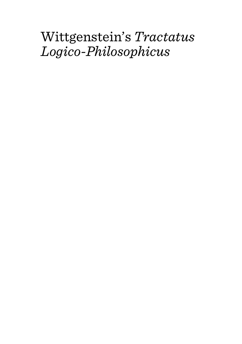# Wittgenstein's *Tractatus Logico-Philosophicus*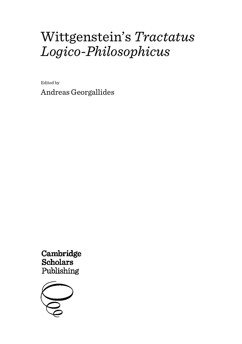# Wittgenstein's *Tractatus Logico-Philosophicus*

Edited by Andreas Georgallides

Cambridge Scholars Publishing

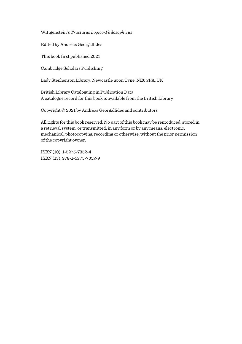Wittgenstein's *Tractatus Logico-Philosophicus*

Edited by Andreas Georgallides

This book first published 2021

Cambridge Scholars Publishing

Lady Stephenson Library, Newcastle upon Tyne, NE6 2PA, UK

British Library Cataloguing in Publication Data A catalogue record for this book is available from the British Library

Copyright © 2021 by Andreas Georgallides and contributors

All rights for this book reserved. No part of this book may be reproduced, stored in a retrieval system, or transmitted, in any form or by any means, electronic, mechanical, photocopying, recording or otherwise, without the prior permission of the copyright owner.

ISBN (10): 1-5275-7352-4 ISBN (13): 978-1-5275-7352-9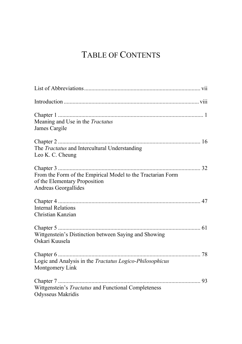# TABLE OF CONTENTS

| Meaning and Use in the Tractatus<br>James Cargile                                                                    |
|----------------------------------------------------------------------------------------------------------------------|
| The Tractatus and Intercultural Understanding<br>Leo K. C. Cheung                                                    |
| From the Form of the Empirical Model to the Tractarian Form<br>of the Elementary Proposition<br>Andreas Georgallides |
| Internal Relations<br>Christian Kanzian                                                                              |
| Wittgenstein's Distinction between Saying and Showing<br>Oskari Kuusela                                              |
| Logic and Analysis in the Tractatus Logico-Philosophicus<br>Montgomery Link                                          |
| Wittgenstein's Tractatus and Functional Completeness<br>Odysseus Makridis                                            |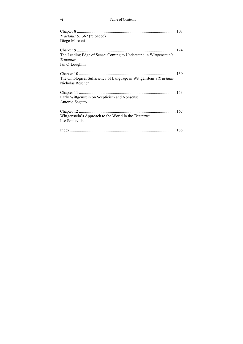| Tractatus 5.1362 (reloaded)<br>Diego Marconi                                                     |  |
|--------------------------------------------------------------------------------------------------|--|
| The Leading Edge of Sense: Coming to Understand in Wittgenstein's<br>Tractatus<br>Ian O'Loughlin |  |
| The Ontological Sufficiency of Language in Wittgenstein's Tractatus<br>Nicholas Rescher          |  |
| Early Wittgenstein on Scepticism and Nonsense<br>Antonio Segatto                                 |  |
| Wittgenstein's Approach to the World in the Tractatus<br>Ilse Somavilla                          |  |
|                                                                                                  |  |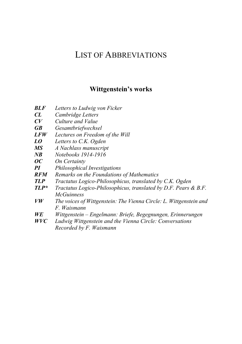### LIST OF ABBREVIATIONS

#### **Wittgenstein's works**

- *BLF Letters to Ludwig von Ficker*
- $Cambridge Letters$
- *CV Culture and Value*
- *GB Gesamtbriefwechsel*
- *LFW Lectures on Freedom of the Will*
- *LO Letters to C.K. Ogden*
- *MS A Nachlass manuscript*
- *NB Notebooks 1914-1916*
- *OC On Certainty*
- *PI Philosophical Investigations*
- *Remarks on the Foundations of Mathematics*
- *TLP Tractatus Logico-Philosophicus, translated by C.K. Ogden*
- *TLP\* Tractatus Logico-Philosophicus, translated by D.F. Pears & B.F. McGuinness*
- *VW The voices of Wittgenstein: The Vienna Circle: L. Wittgenstein and F. Waismann*
- *WE Wittgenstein – Engelmann: Briefe, Begegnungen, Erinnerungen*
- *WVC Ludwig Wittgenstein and the Vienna Circle: Conversations Recorded by F. Waismann*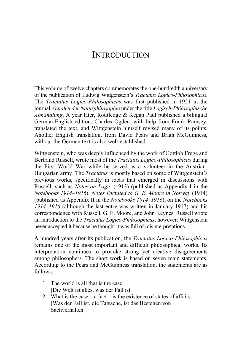# **INTRODUCTION**

This volume of twelve chapters commemorates the one-hundredth anniversary of the publication of Ludwig Wittgenstein's *Tractatus Logico-Philosophicus*. The *Tractatus Logico-Philosophicus* was first published in 1921 in the journal *Annalen der Naturphilosophie* under the title *Logisch-Philosophische Abhandlung*. A year later, Routledge & Kegan Paul published a bilingual German-English edition. Charles Ogden, with help from Frank Ramsey, translated the text, and Wittgenstein himself revised many of its points. Another English translation, from David Pears and Brian McGuinness, without the German text is also well-established.

Wittgenstein, who was deeply influenced by the work of Gottlob Frege and Bertrand Russell, wrote most of the *Tractatus Logico-Philosophicus* during the First World War while he served as a volunteer in the Austrian-Hungarian army. The *Tractatus* is mostly based on some of Wittgenstein's previous works, specifically in ideas that emerged in discussions with Russell, such as *Notes on Logic* (1913) (published as Appendix I in the *Notebooks 1914–1916*), *Notes Dictated to G. E. Moore in Norway* (1914) (published as Appendix II in the *Notebooks 1914–1916*), on the *Notebooks 1914–1916* (although the last entry was written in January 1917) and his correspondence with Russell, G. E. Moore, and John Keynes. Russell wrote an introduction to the *Tractatus Logico-Philosophicus*; however, Wittgenstein never accepted it because he thought it was full of misinterpretations.

A hundred years after its publication, the *Tractatus Logico-Philosophicus*  remains one of the most important and difficult philosophical works. Its interpretation continues to provoke strong yet creative disagreements among philosophers. The short work is based on seven main statements. According to the Pears and McGuinness translation, the statements are as follows:

- 1. The world is all that is the case. [Die Welt ist alles, was der Fall ist.]
- 2. What is the case—a fact—is the existence of states of affairs. [Was der Fall ist, die Tatsache, ist das Bestehen von Sachverhalten.]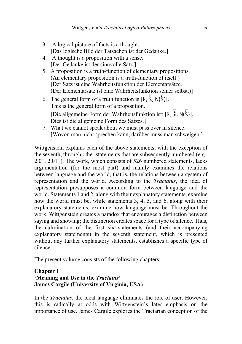- 3. A logical picture of facts is a thought. [Das logische Bild der Tatsachen ist der Gedanke.]
- 4. A thought is a proposition with a sense. [Der Gedanke ist der sinnvolle Satz.]
- 5. A proposition is a truth-function of elementary propositions. (An elementary proposition is a truth-function of itself.) [Der Satz ist eine Wahrheitsfunktion der Elementarsätze. (Der Elementarsatz ist eine Wahrheitsfunktion seiner selbst.)]
- 6. The general form of a truth function is  $[\overline{P}, \xi, N(\xi)].$ This is the general form of a proposition. [Die allgemeine Form der Wahrheitsfunktion ist:  $[\bar{P}, \bar{\xi}, N(\bar{\xi})]$ . Dies ist die allgemeine Form des Satzes.]
- 7. What we cannot speak about we must pass over in silence. [Wovon man nicht sprechen kann, darüber muss man schweigen.]

Wittgenstein explains each of the above statements, with the exception of the seventh, through other statements that are subsequently numbered (e.g., 2.01, 2.011). The work, which consists of 526 numbered statements, lacks argumentation (for the most part) and mainly examines the relations between language and the world, that is, the relations between a system of representation and the world. According to the *Tractatus*, the idea of representation presupposes a common form between language and the world. Statements 1 and 2, along with their explanatory statements, examine how the world must be, while statements 3, 4, 5, and 6, along with their explanatory statements, examine how language must be. Throughout the work, Wittgenstein creates a paradox that encourages a distinction between saying and showing; the distinction creates space for a type of silence. Thus, the culmination of the first six statements (and their accompanying explanatory statements) in the seventh statement, which is presented without any further explanatory statements, establishes a specific type of silence.

The present volume consists of the following chapters:

#### **Chapter 1 'Meaning and Use in the** *Tractatus***' James Cargile (University of Virginia, USA)**

In the *Tractatus*, the ideal language eliminates the role of user. However, this is radically at odds with Wittgenstein's later emphasis on the importance of use. James Cargile explores the Tractarian conception of the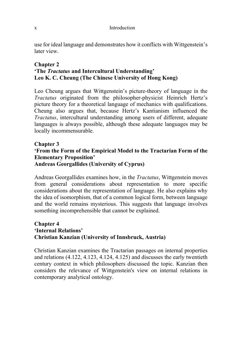use for ideal language and demonstrates how it conflicts with Wittgenstein's later view.

#### **Chapter 2 'The** *Tractatus* **and Intercultural Understanding' Leo K. C. Cheung [\(The Chinese University of Hong Kong\)](http://maps.apple.com/?q=22.419483798848937,114.20317858457565&z=18)**

Leo Cheung argues that Wittgenstein's picture-theory of language in the *Tractatus* originated from the philosopher-physicist Heinrich Hertz's picture theory for a theoretical language of mechanics with qualifications. Cheung also argues that, because Hertz's Kantianism influenced the *Tractatus*, intercultural understanding among users of different, adequate languages is always possible, although these adequate languages may be locally incommensurable.

#### **Chapter 3 'From the Form of the Empirical Model to the Tractarian Form of the Elementary Proposition' Andreas Georgallides (University of Cyprus)**

Andreas Georgallides examines how, in the *Tractatus*, Wittgenstein moves from general considerations about representation to more specific considerations about the representation of language. He also explains why the idea of isomorphism, that of a common logical form, between language and the world remains mysterious. This suggests that language involves something incomprehensible that cannot be explained.

#### **Chapter 4 'Internal Relations' Christian Kanzian (University of Innsbruck, Austria)**

Christian Kanzian examines the Tractarian passages on internal properties and relations (4.122, 4.123, 4.124, 4.125) and discusses the early twentieth century context in which philosophers discussed the topic. Kanzian then considers the relevance of Wittgenstein's view on internal relations in contemporary analytical ontology.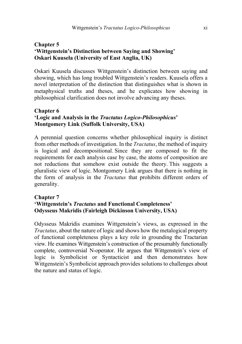#### **Chapter 5 'Wittgenstein's Distinction between Saying and Showing' Oskari Kuusela (University of Εast Anglia, UK)**

Oskari Kuusela discusses Wittgenstein's distinction between saying and showing, which has long troubled Wittgenstein's readers. Kuusela offers a novel interpretation of the distinction that distinguishes what is shown in metaphysical truths and theses, and he explicates how showing in philosophical clarification does not involve advancing any theses.

#### **Chapter 6 'Logic and Analysis in the** *Tractatus Logico-Philosophicus***' Montgomery Link (Suffolk University, USA)**

A perennial question concerns whether philosophical inquiry is distinct from other methods of investigation. In the *Tractatus*, the method of inquiry is logical and decompositional. Since they are composed to fit the requirements for each analysis case by case, the atoms of composition are not reductions that somehow exist outside the theory. This suggests a pluralistic view of logic. Montgomery Link argues that there is nothing in the form of analysis in the *Tractatus* that prohibits different orders of generality.

#### **Chapter 7 'Wittgenstein's** *Tractatus* **and Functional Completeness' Odysseus Makridis (Fairleigh Dickinson University, USA)**

Odysseus Makridis examines Wittgenstein's views, as expressed in the *Tractatus*, about the nature of logic and shows how the metalogical property of functional completeness plays a key role in grounding the Tractarian view. He examines Wittgenstein's construction of the presumably functionally complete, controversial N-operator. He argues that Wittgenstein's view of logic is Symbolicist or Syntacticist and then demonstrates how Wittgenstein's Symbolicist approach provides solutions to challenges about the nature and status of logic.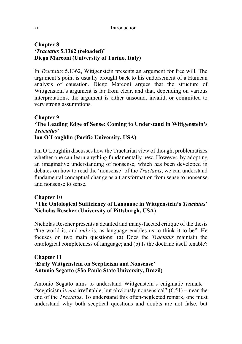#### **Chapter 8 '***Tractatus* **5.1362 (reloaded)' Diego Marconi (University of Torino, Italy)**

In *Tractatus* 5.1362, Wittgenstein presents an argument for free will. The argument's point is usually brought back to his endorsement of a Humean analysis of causation. Diego Marconi argues that the structure of Wittgenstein's argument is far from clear, and that, depending on various interpretations, the argument is either unsound, invalid, or committed to very strong assumptions.

#### **Chapter 9 'The Leading Edge of Sense: Coming to Understand in Wittgenstein's**  *Tractatus***' Ian O'Loughlin (Pacific University, USA)**

Ian O'Loughlin discusses how the Tractarian view of thought problematizes whether one can learn anything fundamentally new. However, by adopting an imaginative understanding of nonsense, which has been developed in debates on how to read the 'nonsense' of the *Tractatus*, we can understand fundamental conceptual change as a transformation from sense to nonsense and nonsense to sense.

#### **Chapter 10**

#### **'The Ontological Sufficiency of Language in Wittgenstein's** *Tractatus***' Nicholas Rescher (University of Pittsburgh, USA)**

Nicholas Rescher presents a detailed and many-faceted critique of the thesis "the world is, and *only* is, as language enables us to think it to be". He focuses on two main questions: (a) Does the *Tractatus* maintain the ontological completeness of language; and (b) Is the doctrine itself tenable?

#### **Chapter 11 'Early Wittgenstein on Scepticism and Nonsense' Antonio Segatto (São Paulo State University, Brazil)**

Antonio Segatto aims to understand Wittgenstein's enigmatic remark – "scepticism is *not* irrefutable, but obviously nonsensical" (6.51) – near the end of the *Tractatus*. To understand this often-neglected remark, one must understand why both sceptical questions and doubts are not false, but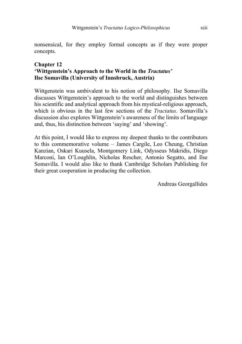nonsensical, for they employ formal concepts as if they were proper concepts.

#### **Chapter 12 'Wittgenstein's Approach to the World in the** *Tractatus'* **Ilse Somavilla (University of Innsbruck, Austria)**

Wittgenstein was ambivalent to his notion of philosophy. Ilse Somavilla discusses Wittgenstein's approach to the world and distinguishes between his scientific and analytical approach from his mystical-religious approach, which is obvious in the last few sections of the *Tractatus*. Somavilla's discussion also explores Wittgenstein's awareness of the limits of language and, thus, his distinction between 'saying' and 'showing'.

At this point, I would like to express my deepest thanks to the contributors to this commemorative volume – James Cargile, Leo Cheung, Christian Kanzian, Oskari Kuusela, Montgomery Link, Odysseus Makridis, Diego Marconi, Ian O'Loughlin, Nicholas Rescher, Antonio Segatto, and Ilse Somavilla. I would also like to thank Cambridge Scholars Publishing for their great cooperation in producing the collection.

Andreas Georgallides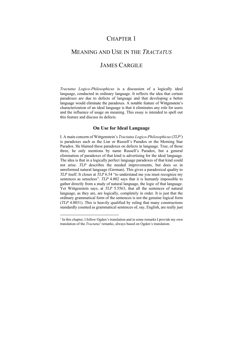## CHAPTER 1

# MEANING AND USE IN THE *TRACTATUS* JAMES CARGILE

*Tractatus Logico-Philosophicus* is a discussion of a logically ideal language, conducted in ordinary language. It reflects the idea that certain paradoxes are due to defects of language and that developing a better language would eliminate the paradoxes. A notable feature of Wittgenstein's characterization of an ideal language is that it eliminates any role for users and the influence of usage on meaning. This essay is intended to spell out this feature and discuss its defects.

#### **On Use for Ideal Language**

I. A main concern of Wittgenstein's *Tractatus Logico-Philosophicus* (*TLP1* ) is paradoxes such as the Liar or Russell's Paradox or the Morning Star Paradox. He blamed these paradoxes on defects in language. True, of those three, he only mentions by name Russell's Paradox, but a general elimination of paradoxes of that kind is advertising for the ideal language. The idea is that in a logically perfect language paradoxes of that kind could not arise. *TLP* describes the needed improvements, but does so in unreformed natural language (German). This gives a paradoxical quality to *TLP* itself. It closes at *TLP* 6.54 "to understand me you must recognize my sentences as senseless". *TLP* 4.002 says that it is humanly impossible to gather directly from a study of natural language, the logic of that language. Yet Wittgenstein says, at *TLP* 5.5563, that all the sentences of natural language, as they are, are logically, completely in order. It is just that the ordinary grammatical form of the sentences is not the genuine logical form (*TLP* 4.0031). This is heavily qualified by ruling that many constructions standardly counted as grammatical sentences of, say, English, are really just

<sup>&</sup>lt;sup>1</sup> In this chapter, I follow Ogden's translation and in some remarks I provide my own translation of the *Tractatus'* remarks, always based on Ogden's translation.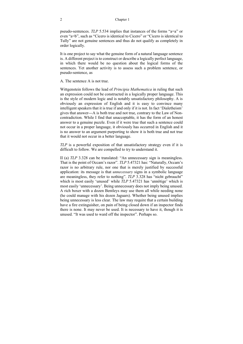#### 2 Chapter 1

pseudo-sentences. *TLP* 5.534 implies that instances of the forms "a=a" or even "a=b", such as "Cicero is identical to Cicero" or "Cicero is identical to Tully" are not genuine sentences and thus do not qualify as completely in order logically.

It is one project to say what the genuine form of a natural language sentence is. A different project is to construct or describe a logically perfect language, in which there would be no question about the logical forms of the sentences. Yet another activity is to assess such a problem sentence, or pseudo-sentence, as

A. The sentence A is not true.

Wittgenstein follows the lead of *Principia Mathematica* in ruling that such an expression could not be constructed in a logically proper language. This is the style of modern logic and is notably unsatisfactory philosophy. A is obviously an expression of English and it is easy to convince many intelligent speakers that it is true if and only if it is not. In fact 'Dialetheism' gives that answer---A is both true and not true, contrary to the Law of Noncontradiction. While I find that unacceptable, it has the form of an honest answer to a genuine puzzle. Even if it were true that such a sentence could not occur in a proper language, it obviously has occurred in English and it is no answer to an argument purporting to show it is both true and not true that it would not occur in a better language.

*TLP* is a powerful exposition of that unsatisfactory strategy even if it is difficult to follow. We are compelled to try to understand it.

II (a) *TLP* 3.328 can be translated: "An unnecessary sign is meaningless. That is the point of Occam's razor". *TLP* 5.47321 has: "Naturally, Occam's razor is no arbitrary rule, nor one that is merely justified by successful application: its message is that *unnecessary* signs in a symbolic language are meaningless, they refer to nothing". *TLP* 3.328 has "nicht gebraucht" which is most easily 'unused' while *TLP* 5.47321 has 'unnötige' which is most easily 'unnecessary'. Being unnecessary does not imply being unused. A rich boxer with a dozen Bentleys may use them all while needing none (he could manage with his dozen Jaguars). Whether being unused implies being unnecessary is less clear. The law may require that a certain building have a fire extinguisher, on pain of being closed down if an inspector finds there is none. It may never be used. It is necessary to have it, though it is unused. "It was used to ward off the inspector". Perhaps so.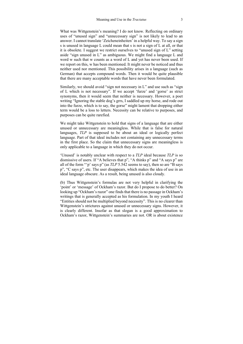What was Wittgenstein's meaning? I do not know. Reflecting on ordinary uses of "unused sign" and "unnecessary sign" is not likely to lead to an answer. I cannot translate 'Zeicheneinheiten' in a helpful way. To say a sign s is unused in language L could mean that s is not a sign of L at all, or that it is obsolete. I suggest we restrict ourselves to "unused sign of L" setting aside "sign unused in L" as ambiguous. We might find a language L and word w such that w counts as a word of L and yet has never been used. If we report on this, w has been mentioned. It might never be noticed and thus neither used nor mentioned. This possibility arises in a language (such as German) that accepts compound words. Then it would be quite plausible that there are many acceptable words that have never been formulated.

Similarly, we should avoid "sign not necessary in L" and use such as "sign of L which is not necessary". If we accept 'furze' and 'gorse' as strict synonyms, then it would seem that neither is necessary. However, a poet writing "Ignoring the stable dog's grrs, I saddled up my horse, and rode out into the furze, which is to say, the gorse" might lament that dropping either term would be a loss to letters. Necessity can be relative to purposes, and purposes can be quite rarefied.

We might take Wittgenstein to hold that signs of a language that are either unused or unnecessary are meaningless. While that is false for natural languages, *TLP* is supposed to be about an ideal or logically perfect language. Part of that ideal includes not containing any unnecessary terms in the first place. So the claim that unnecessary signs are meaningless is only applicable to a language in which they do not occur.

'Unused' is notably unclear with respect to a *TLP* ideal because *TLP* is so dismissive of users. If "A believes that p", "A thinks p" and "A says p" are all of the form "'p' says p" (as *TLP* 5.542 seems to say), then so are "B says p", "C says p", etc. The user disappears, which makes the idea of use in an ideal language obscure. As a result, being unused is also cloudy.

(b) Thus Wittgenstein's formulas are not very helpful in clarifying the 'point' or 'message' of Ockham's razor. But do I propose to do better? On looking up "Ockham's razor" one finds that there is no passage in Ockham's writings that is generally accepted as his formulation. In my youth I heard "Entities should not be multiplied beyond necessity". This is no clearer than Wittgenstein's strictures against unused or unnecessary signs. However, it is clearly different. Insofar as that slogan is a good approximation to Ockham's razor, Wittgenstein's summaries are not. OR is about existence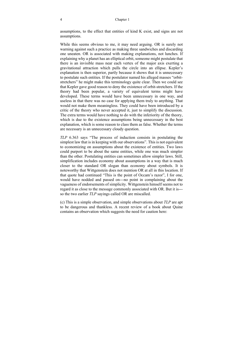#### 4 Chapter 1

assumptions, to the effect that entities of kind K exist, and signs are not assumptions.

While this seems obvious to me, it may need arguing. OR is surely not warning against such a practice as making three sandwiches and discarding one uneaten. OR is associated with making explanations, not lunches. If explaining why a planet has an elliptical orbit, someone might postulate that there is an invisible mass near each vertex of the major axis exerting a gravitational attraction which pulls the circle into an ellipse. Kepler's explanation is then superior, partly because it shows that it is unnecessary to postulate such entities. If the postulator named his alleged masses "orbitstretchers" he might make this terminology quite clear. Then we could see that Kepler gave good reason to deny the existence of orbit-stretchers. If the theory had been popular, a variety of equivalent terms might have developed. These terms would have been unnecessary in one way, and useless in that there was no case for applying them truly to anything. That would not make them meaningless. They could have been introduced by a critic of the theory who never accepted it, just to simplify the discussion. The extra terms would have nothing to do with the inferiority of the theory, which is due to the existence assumptions being unnecessary in the best explanation, which is some reason to class them as false. Whether the terms are necessary is an unnecessary cloudy question.

*TLP* 6.363 says "The process of induction consists in postulating the simplest law that is in keeping with our observations". This is not equivalent to economizing on assumptions about the existence of entities. Two laws could purport to be about the same entities, while one was much simpler than the other. Postulating entities can sometimes allow simpler laws. Still, simplification includes economy about assumptions in a way that is much closer to the standard OR slogan than economy about symbols. It is noteworthy that Wittgenstein does not mention OR at all in this location. If that quote had continued "This is the point of Occam's razor", I for one, would have nodded and passed on---no point in complaining about the vagueness of endorsements of simplicity. Wittgenstein himself seems not to regard it as close to the message commonly associated with OR. But it is-- so the two earlier *TLP* sayings called OR are miscalled.

(c) This is a simple observation, and simple observations about *TLP* are apt to be dangerous and thankless. A recent review of a book about Quine contains an observation which suggests the need for caution here: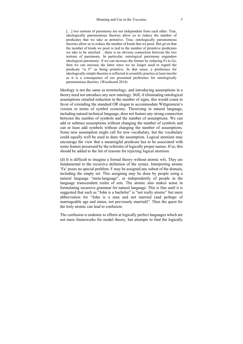[...] two notions of parsimony are not independent from each other. True, ideologically parsimonious theories allow us to reduce the number of predicates that we take as primitive. True, ontologically parsimonious theories allow us to reduce the number of kinds that we posit. But given that the number of kinds we posit is tied to the number of primitive predicates we take to be satisfied …there is an obvious connection between the two notions of parsimony. In particular, ontological parsimony engenders ideological parsimony: if we can increase the former by reducing Fs to Gs, then we can increase the latter since we no longer need to regard the predicate "is F" as being primitive. In that sense, a preference for ideologically simple theories is reflected in scientific practice at least insofar as it is a consequence of our presumed preference for ontologically parsimonious theories. (Woodward 2014)

Ideology is not the same as terminology, and introducing assumptions in a theory need not introduce any new ontology. Still, if eliminating ontological assumptions entailed reduction in the number of signs, this would count in favor of extending the standard OR slogan to accommodate Wittgenstein's version in terms of symbol economy. Theorizing in natural language, including natural technical language, does not feature any strong connection between the number of symbols and the number of assumptions. We can add or subtract assumptions without changing the number of symbols and can at least add symbols without changing the number of assumptions. Some new assumption might call for new vocabulary, but the vocabulary could equally well be used to deny the assumption. Logical atomism may encourage the view that a meaningful predicate has to be associated with some feature possessed by the referents of logically proper names. If so, this should be added to the list of reasons for rejecting logical atomism.

(d) It is difficult to imagine a formal theory without atomic wfs. They are fundamental to the recursive definition of the syntax. Interpreting atomic 'Fa' poses no special problem. F may be assigned any subset of the domain, including the empty set. This assigning may be done by people using a natural language "meta-language", or independently of people in the language transcendent realm of sets. The atomic also makes sense in formulating recursive grammar for natural language. This is fine until it is suggested that such as "John is a bachelor" is "not really atomic" but mere abbreviation for "John is a man and not married (and perhaps of marriageable age and status, not previously married)". Then the quest for the truly atomic can lead to confusion.

The confusion is endemic to efforts at logically perfect languages which are not mere frameworks for model theory, but attempts to find the logically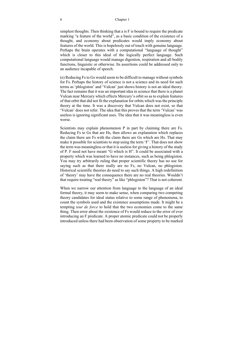#### 6 Chapter 1

simplest thoughts. Then thinking that a is F is bound to require the predicate marking "a feature of the world", as a basic condition of the existence of a thought, and economy about predicates would imply economy about features of the world. This is hopelessly out of touch with genuine language. Perhaps the brain operates with a computational "language of thought" which is closer to this ideal of the logically perfect language. Such computational language would manage digestion, respiration and all bodily functions, linguistic or otherwise. Its assertions could be addressed only to an audience incapable of speech.

(e) Reducing Fs to Gs would seem to be difficult to manage without symbols for Fs. Perhaps the history of science is not a science and its need for such terms as 'phlogiston' and 'Vulcan' just shows history is not an ideal theory. The fact remains that it was an important idea in science that there is a planet Vulcan near Mercury which effects Mercury's orbit so as to explain features of that orbit that did not fit the explanation for orbits which was the principle theory at the time. It was a discovery that Vulcan does not exist, so that 'Vulcan' does not refer. The idea that this proves that the term 'Vulcan' was useless is ignoring significant uses. The idea that it was meaningless is even worse.

Scientists may explain phenomenon P in part by claiming there are Fs. Reducing Fs to Gs that are Hs, then allows an explanation which replaces the claim there are Fs with the claim there are Gs which are Hs. That may make it possible for scientists to stop using the term 'F'. That does not show the term was meaningless or that it is useless for giving a history of the study of P. F need not have meant "G which is H". It could be associated with a property which was learned to have no instances, such as being phlogiston. You may try arbitrarily ruling that proper scientific theory has no use for saying such as that there really are no Fs, no Vulcan, no phlogiston. Historical scientific theories do need to say such things. A high redefinition of 'theory' may have the consequence there are no real theories. Wouldn't that require treating "real theory" as like "phlogiston"? That is not coherent.

When we narrow our attention from language to the language of an ideal formal theory, it may seem to make sense, when comparing two competing theory candidates for ideal status relative to some range of phenomena, to count the symbols used and the existence assumptions made. It might be a tempting *tour de force* to hold that the two economies come to the same thing. Then error about the existence of Fs would reduce to the error of ever introducing an F predicate. A proper atomic predicate could not be properly introduced unless there had been observation of some property to be marked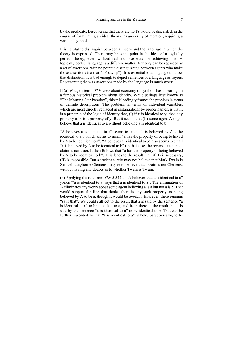by the predicate. Discovering that there are no Fs would be discarded, in the course of formulating an ideal theory, as unworthy of mention, requiring a waste of symbols.

It is helpful to distinguish between a theory and the language in which the theory is expressed. There may be some point in the ideal of a logically perfect theory, even without realistic prospects for achieving one. A logically perfect language is a different matter. A theory can be regarded as a set of assertions, with no point in distinguishing between agents who make those assertions (so that "'p' says p"). It is essential to a language to allow that distinction. It is bad enough to depict sentences of a language as sayers. Representing them as assertions made by the language is much worse.

II (a) Wittgenstein's *TLP* view about economy of symbols has a bearing on a famous historical problem about identity. While perhaps best known as "The Morning Star Paradox", this misleadingly frames the problem in terms of definite descriptions. The problem, in terms of individual variables, which are most directly replaced in instantiations by proper names, is that it is a principle of the logic of identity that,  $(I)$  if x is identical to y, then any property of x is a property of y. But it seems that (II) some agent A might believe that a is identical to a without believing a is identical to b.

"A believes a is identical to a" seems to entail "a is believed by A to be identical to a", which seems to mean "a has the property of being believed by A to be identical to a". "A believes a is identical to b" also seems to entail "a is believed by A to be identical to b" (In that case, the reverse entailment claim is not true). It then follows that "a has the property of being believed by A to be identical to b". This leads to the result that, if (I) is necessary, (II) is impossible. But a student surely may not believe that Mark Twain is Samuel Langhorne Clemens, may even believe that Twain is not Clemens, without having any doubts as to whether Twain is Twain.

(b) Applying the rule from *TLP* 5.542 to "A believes that a is identical to a" yields "'a is identical to a' says that a is identical to a". The elimination of A eliminates any worry about some agent believing a is a but not a is b. That would support the line that denies there is any such property as being believed by A to be a, though it would be overkill. However, there remains "says that". We could still get to the result that a is said by the sentence "a is identical to a" to be identical to a, and from there to the result that a is said by the sentence "a is identical to a" to be identical to b. That can be further reworded so that "a is identical to a" is held, paradoxically, to be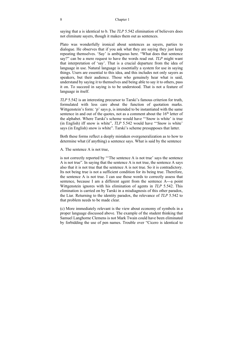#### 8 Chapter 1

saying that a is identical to b. The *TLP* 5.542 elimination of believers does not eliminate sayers, though it makes them out as sentences.

Plato was wonderfully ironical about sentences as sayers, parties to dialogue. He observes that if you ask what they are saying they just keep repeating themselves. 'Say' is ambiguous here. "What does that sentence say?" can be a mere request to have the words read out. *TLP* might want that interpretation of 'say'. That is a crucial departure from the idea of language in use. Natural language is essentially a system for use in saying things. Users are essential to this idea, and this includes not only sayers as speakers, but their audience. Those who genuinely hear what is said, understand by saying it to themselves and being able to say it to others, pass it on. To succeed in saying is to be understood. That is not a feature of language in itself.

*TLP* 5.542 is an interesting precursor to Tarski's famous criterion for truth, formulated with less care about the function of quotation marks. Wittgenstein's form: 'p' says p, is intended to be instantiated with the same sentence in and out of the quotes, not as a comment about the  $16<sup>th</sup>$  letter of the alphabet. Where Tarski's scheme would have "'Snow is white' is true (in English) iff snow is white", *TLP* 5.542 would have "'Snow is white' says (in English) snow is white". Tarski's scheme presupposes that latter.

Both these forms reflect a deeply mistaken overgeneralization as to how to determine what (if anything) a sentence says. What is said by the sentence

A. The sentence A is not true,

is not correctly reported by "'The sentence A is not true' says the sentence A is not true". In saying that the sentence A is not true, the sentence A says also that it is not true that the sentence A is not true. So it is contradictory. Its not being true is not a sufficient condition for its being true. Therefore, the sentence A is not true. I can use those words to correctly assess that sentence, because I am a different agent from the sentence A---a point Wittgenstein ignores with his elimination of agents in *TLP* 5.542. This elimination is carried on by Tarski in a misdiagnosis of this other paradox, the Liar. Returning to the identity paradox, the relevance of *TLP* 5.542 to that problem needs to be made clear.

(c) More immediately relevant is the view about economy of symbols in a proper language discussed above. The example of the student thinking that Samuel Langhorne Clemens is not Mark Twain could have been eliminated by forbidding the use of pen names. Trouble over "Cicero is identical to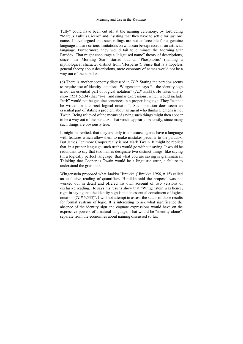Tully" could have been cut off at the naming ceremony, by forbidding "Marcus Tullius Cicero" and insisting that they have to settle for just one name. I have argued that such rulings are not enforceable for a genuine language and are serious limitations on what can be expressed in an artificial language. Furthermore, they would fail to eliminate the Morning Star Paradox. That might encourage a "disguised name" theory of descriptions, since "the Morning Star" started out as 'Phosphorus' (naming a mythological character distinct from 'Hesperus'). Since that is a hopeless general theory about descriptions, mere economy of names would not be a way out of the paradox.

(d) There is another economy discussed in *TLP*. Stating the paradox seems to require use of identity locutions. Wittgenstein says "…the identity sign is not an essential part of logical notation" (*TLP* 5.533). He takes this to show (*TLP* 5.534) that "a=a" and similar expressions, which would include "a=b" would not be genuine sentences in a proper language. They "cannot be written in a correct logical notation". Such notation does seem an essential part of stating a problem about an agent who thinks Clemens is not Twain. Being relieved of the means of saying such things might then appear to be a way out of the paradox. That would appear to be costly, since many such things are obviously true.

It might be replied, that they are only true because agents have a language with features which allow them to make mistakes peculiar to the paradox. But James Fenimore Cooper really is not Mark Twain. It might be replied that, in a proper language, such truths would go without saying. It would be redundant to say that two names designate two distinct things, like saying (in a logically perfect language) that what you are saying is grammatical. Thinking that Cooper is Twain would be a linguistic error, a failure to understand the grammar.

Wittgenstein proposed what Jaakko Hintikka (Hintikka 1956, n.15) called an exclusive reading of quantifiers. Hintikka said the proposal was not worked out in detail and offered his own account of two versions of exclusive reading. He says his results show that "Wittgenstein was hence, right in saying that the identity sign is not an essential constituent of logical notation (*TLP* 5.533)". I will not attempt to assess the status of those results for formal systems of logic. It is interesting to ask what significance the absence of the identity sign and cognate expressions would have on the expressive powers of a natural language. That would be "identity alone", separate from the economies about naming discussed so far.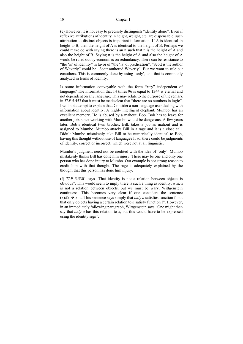(e) However, it is not easy to precisely distinguish "identity alone". Even if reflexive attributions of identity in height, weight, etc. are dispensable, such attribution to distinct objects is important information. If A is identical in height to B, then the height of A is identical to the height of B. Perhaps we could make do with saying there is an n such that n is the height of A and also the height of B. Saying n is the height of A and also the height of A would be ruled out by economies on redundancy. There can be resistance to "the 'is' of identity" in favor of "the 'is' of predication". "Scott is the author of Waverly" could be "Scott authored Waverly". But we want to rule out coauthors. This is commonly done by using 'only', and that is commonly analyzed in terms of identity.

Is some information conveyable with the form " $x=y$ " independent of language? The information that 14 times 96 is equal to 1344 is eternal and not dependent on any language. This may relate to the purpose of the remark in *TLP* 5.453 that it must be made clear that "there are no numbers in logic". I will not attempt to explain that. Consider a non-language user dealing with information about identity. A highly intelligent elephant, Mumbo, has an excellent memory. He is abused by a mahout, Bob. Bob has to leave for another job, since working with Mumbo would be dangerous. A few years later, Bob's identical twin brother, Bill, takes a job as mahout and is assigned to Mumbo. Mumbo attacks Bill in a rage and it is a close call. Didn't Mumbo mistakenly take Bill to be numerically identical to Bob, having this thought without use of language? If so, there could be judgments of identity, correct or incorrect, which were not at all linguistic.

Mumbo's judgment need not be credited with the idea of 'only'. Mumbo mistakenly thinks Bill has done him injury. There may be one and only one person who has done injury to Mumbo. Our example is not strong reason to credit him with that thought. The rage is adequately explained by the thought that this person has done him injury.

(f) *TLP* 5.5301 says "That identity is not a relation between objects is obvious". This would seem to imply there is such a thing as identity, which is not a relation between objects, but we must be wary. Wittgenstein continues: "This becomes very clear if one considers the sentence  $(x): f_X \rightarrow x=a$ . This sentence says simply that *only a* satisfies function f, not that only objects having a certain relation to *a* satisfy function f". However, in an immediately following paragraph, Wittgenstein says "One might then say that *only a* has this relation to a, but this would have to be expressed using the identity sign".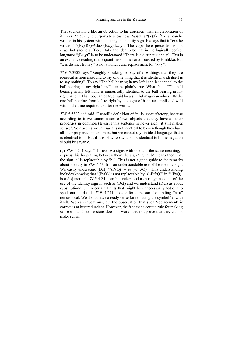That sounds more like an objection to his argument than an elaboration of it. In *TLP* 5.5321, he purports to show how Russell's " $(x): f x \rightarrow x=a$ " can be written in his system without using an identity sign. He says that it "can be written" " $(Ex)$ .f(x) $\rightarrow$ .fa: $\sim$ (Ex,y).fx.fy". The copy here presented is not exact but should suffice. I take the idea to be that in the logically perfect language " $(Ex,y)$ " is to be understood "There is a distinct x and y". This is an exclusive reading of the quantifiers of the sort discussed by Hintikka. But "x is distinct from y" is not a noncircular replacement for " $x \neq y$ ".

*TLP* 5.5303 says "Roughly speaking: to say of *two* things that they are identical is nonsense, and to say of one thing that it is identical with itself is to say nothing". To say "The ball bearing in my left hand is identical to the ball bearing in my right hand" can be plainly true. What about "The ball bearing in my left hand is numerically identical to the ball bearing in my right hand"? That too, can be true, said by a skillful magician who shifts the one ball bearing from left to right by a sleight of hand accomplished well within the time required to utter the words.

*TLP* 5.5302 had said "Russell's definition of '=' is unsatisfactory, because according to it we cannot assert of two objects that they have all their properties in common (Even if this sentence is never right, it still makes sense)". So it seems we can say a is not identical to b even though they have all their properties in common, but we cannot say, in ideal language, that a is identical to b. But if it is okay to say a is not identical to b, the negation should be sayable.

(g) *TLP* 4.241 says "If I use two signs with one and the same meaning, I express this by putting between them the sign  $=$ .  $a=b'$  means then, that the sign 'a' is replaceable by 'b'". This is not a good guide to the remarks about identity in *TLP* 5.53. It is an understandable use of the identity sign. We easily understand (Def) "'(PvQ)' =  $_{def}$  (~P $\rightarrow$ Q)". This understanding includes knowing that "(PvQ)" is not replaceable by "(~P $\rightarrow$ Q)" in "'(PvQ)" is a disjunction". *TLP* 4.241 can be understood as a rough account of the use of the identity sign in such as (Def) and we understand (Def) as about substitutions within certain limits that might be unnecessarily tedious to spell out in detail. *TLP* 4.241 does offer a reason for finding "a=a" nonsensical. We do not have a ready sense for replacing the symbol 'a' with itself. We can invent one, but the observation that such 'replacement' is correct is at best redundant. However, the fact that a certain rule for making sense of "a=a" expressions does not work does not prove that they cannot make sense.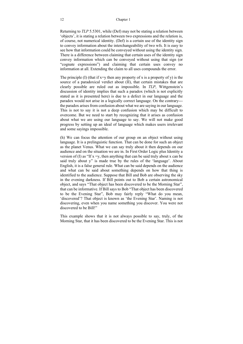#### 12 Chapter 1

Returning to *TLP* 5.5301, while (Def) may not be stating a relation between 'objects', it is stating a relation between two expressions and the relation is, of course, not numerical identity. (Def) is a certain use of the identity sign to convey information about the interchangeability of two wfs. It is easy to see how that information could be conveyed without using the identity sign. There is a difference between claiming that certain uses of the identity sign convey information which can be conveyed without using that sign (or "cognate expressions") and claiming that certain uses convey no information at all. Extending the claim to all uses compounds the error.

The principle (I) (that if  $x=y$  then any property of x is a property of y) is the source of a paradoxical verdict about (II), that certain mistakes that are clearly possible are ruled out as impossible. In *TLP*, Wittgenstein's discussion of identity implies that such a paradox (which is not explicitly stated as it is presented here) is due to a defect in our language and the paradox would not arise in a logically correct language. On the contrary-- the paradox arises from confusion about what we are saying in our language. This is not to say it is not a deep confusion which may be difficult to overcome. But we need to start by recognizing that it arises as confusion about what we are using our language to say. We will not make good progress by setting up an ideal of language which makes users irrelevant and some sayings impossible.

(h) We can focus the attention of our group on an object without using language. It is a prelinguistic function. That can be done for such an object as the planet Venus. What we can say truly about it then depends on our audience and on the situation we are in. In First Order Logic plus Identity a version of (I) as "If  $x = y$ , then anything that can be said truly about x can be said truly about y" is made true by the rules of the 'language'. About English, it is a false general rule. What can be said depends on the audience and what can be said about something depends on how that thing is identified to the audience. Suppose that Bill and Bob are observing the sky in the evening darkness. If Bill points out to Bob a certain astronomical object, and says "That object has been discovered to be the Morning Star", that can be informative. If Bill says to Bob "That object has been discovered to be the Evening Star", Bob may fairly reply "What do you mean, 'discovered'? That object is known as 'the Evening Star'. Naming is not discovering, even when you name something you discover. You were not discovered to be Bill!"

This example shows that it is not always possible to say, truly, of the Morning Star, that it has been discovered to be the Evening Star. This is not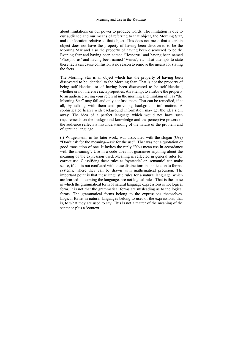about limitations on our power to produce words. The limitation is due to our audience and our means of referring to that object, the Morning Star, and our location relative to that object. This does not mean that a certain object does not have the property of having been discovered to be the Morning Star and also the property of having been discovered to be the Evening Star and having been named 'Hesperus' and having been named 'Phosphorus' and having been named 'Venus', etc. That attempts to state these facts can cause confusion is no reason to remove the means for stating the facts.

The Morning Star is an object which has the property of having been discovered to be identical to the Morning Star. That is not the property of being self-identical or of having been discovered to be self-identical, whether or not there are such properties. An attempt to attribute the property to an audience seeing your referent in the morning and thinking of it as "the Morning Star" may fail and only confuse them. That can be remedied, if at all, by talking with them and providing background information. A sophisticated hearer with background information may get the idea right away. The idea of a perfect language which would not have such requirements on the background knowledge and the perceptive powers of the audience reflects a misunderstanding of the nature of the problem and of genuine language.

(i) Wittgenstein, in his later work, was associated with the slogan (Use) "Don't ask for the meaning---ask for the use". That was not a quotation or good translation of one. It invites the reply "You mean use in accordance with the meaning". Use in a code does not guarantee anything about the meaning of the expression used. Meaning is reflected in general rules for correct use. Classifying these rules as 'syntactic' or 'semantic' can make sense, if this is not conflated with these distinctions in application to formal systems, where they can be drawn with mathematical precision. The important point is that these linguistic rules for a natural language, which are learned in learning the language, are not logical rules. That is the sense in which the grammatical form of natural language expressions is not logical form. It is not that the grammatical forms are misleading as to the logical forms. The grammatical forms belong to the expressions themselves. Logical forms in natural languages belong to uses of the expressions, that is, to what they are used to say. This is not a matter of the meaning of the sentence plus a 'context'.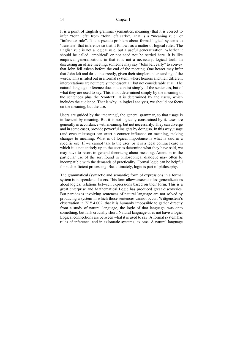It is a point of English grammar (semantics, meaning) that it is correct to infer "John left" from "John left early". That is a "meaning rule" or "inference rule". It is a pseudo-problem about formal logical systems to 'translate' that inference so that it follows as a matter of logical rules. The English rule is not a logical rule, but a useful generalization. Whether it should be called 'empirical' or not need not be settled here. It is like empirical generalizations in that it is not a necessary, logical truth. In discussing an office meeting, someone may say "John left early" to convey that John fell asleep before the end of the meeting. One hearer may infer that John left and do so incorrectly, given their simpler understanding of the words. This is ruled out in a formal system, where hearers and their different interpretations are not merely "not essential" but not considerable at all. The natural language inference does not consist simply of the sentences, but of what they are used to say. This is not determined simply by the meaning of the sentences plus the 'context'. It is determined by the users, which includes the audience. That is why, in logical analysis, we should not focus on the meaning, but the use.

Users are guided by the 'meaning', the general grammar, so that usage is influenced by meaning. But it is not logically constrained by it. Uses are generally in accordance with meaning, but not necessarily. They can diverge and in some cases, provide powerful insights by doing so. In this way, usage (and even misusage) can exert a counter influence on meaning, making changes to meaning. What is of logical importance is what is said in a specific use. If we cannot talk to the user, or it is a legal contract case in which it is not entirely up to the user to determine what they have said, we may have to resort to general theorizing about meaning. Attention to the particular use of the sort found in philosophical dialogue may often be incompatible with the demands of practicality. Formal logic can be helpful for such efficient processing. But ultimately, logic is part of philosophy.

The grammatical (syntactic and semantic) form of expressions in a formal system is independent of users. This form allows exceptionless generalizations about logical relations between expressions based on their form. This is a great enterprise and Mathematical Logic has produced great discoveries. But paradoxes involving sentences of natural language are not solved by producing a system in which those sentences cannot occur. Wittgenstein's observation in *TLP* 4.002, that it is humanly impossible to gather directly from a study of natural language, the logic of that language, was onto something, but falls crucially short. Natural language does not have a logic. Logical connections are between what it is used to say. A formal system has rules of inference, and in axiomatic systems, axioms. A natural language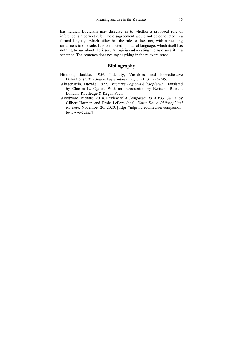has neither. Logicians may disagree as to whether a proposed rule of inference is a correct rule. The disagreement would not be conducted in a formal language which either has the rule or does not, with a resulting unfairness to one side. It is conducted in natural language, which itself has nothing to say about the issue. A logician advocating the rule says it in a sentence. The sentence does not say anything in the relevant sense.

#### **Bibliography**

- Hintikka, Jaakko. 1956. "Identity, Variables, and Impredicative Definitions". *The Journal of Symbolic Logic*. 21 (3). 225-245.
- Wittgenstein, Ludwig. 1922. *Tractatus Logico-Philosophicus.* Translated by Charles K. Ogden. With an Introduction by Bertrand Russell. London: Routledge & Kegan Paul.
- Woodward, Richard. 2014. Review of *A Companion to W.V.O. Quine*, by Gilbert Harman and Ernie LePore (eds). *Notre Dame Philosophical Reviews,* November 20, 2020. [https://ndpr.nd.edu/news/a-companionto-w-v-o-quine/]